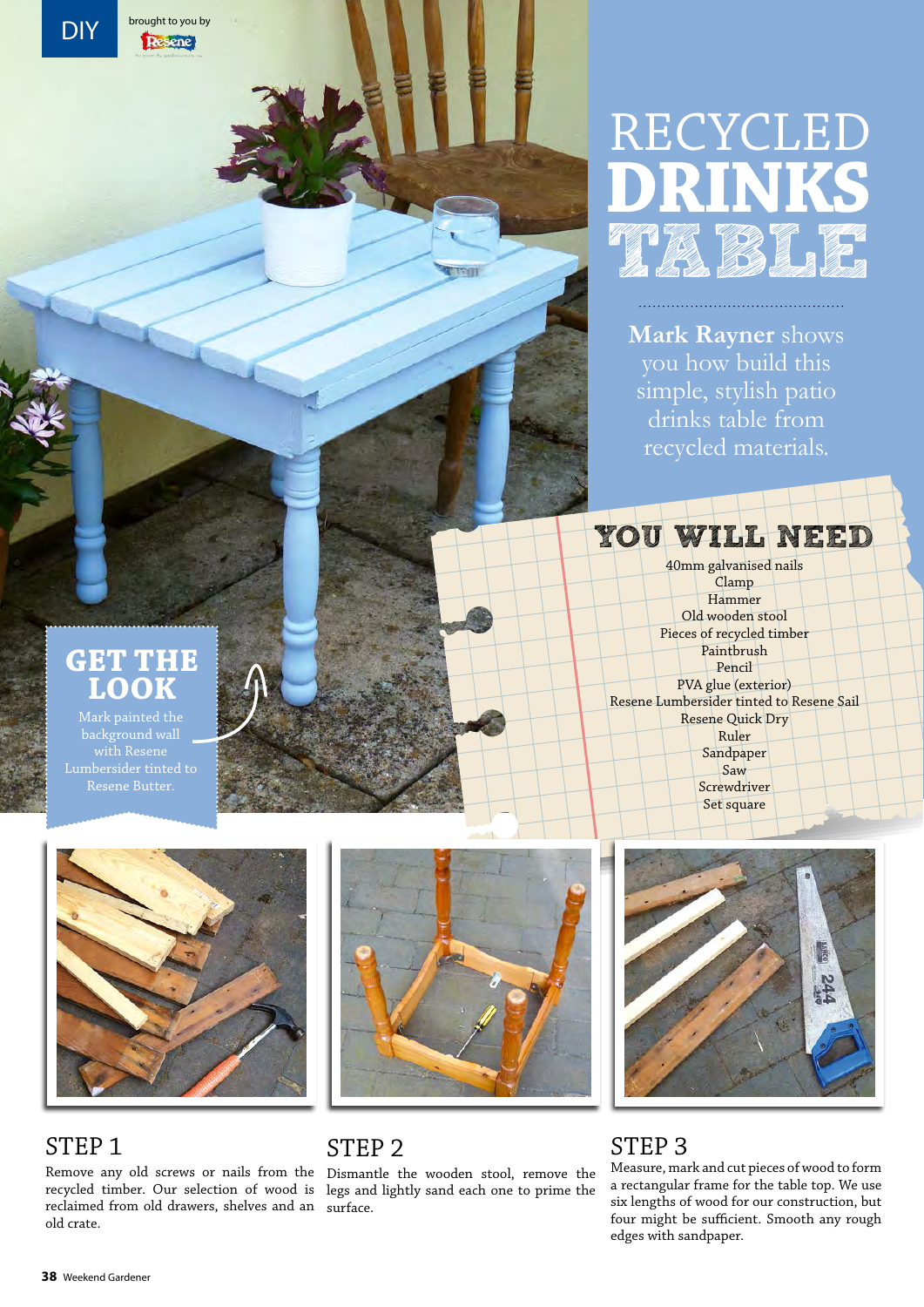# RECYCLED **DRINKS** ta T

**Mark Rayner** shows you how build this simple, stylish patio drinks table from recycled materials.

# You will need

40mm galvanised nails Clamp Hammer Old wooden stool Pieces of recycled timber Paintbrush Pencil PVA glue (exterior) Resene Lumbersider tinted to Resene Sail Resene Quick Dry Ruler Sandpaper Saw Screwdriver Set square



# **Get the look**

background wall



#### STEP<sub>1</sub>

Remove any old screws or nails from the Dismantle the wooden stool, remove the recycled timber. Our selection of wood is legs and lightly sand each one to prime the reclaimed from old drawers, shelves and an surface. old crate.



#### STEP<sub>2</sub>



### STEP<sub>3</sub>

Measure, mark and cut pieces of wood to form a rectangular frame for the table top. We use six lengths of wood for our construction, but four might be sufficient. Smooth any rough edges with sandpaper.